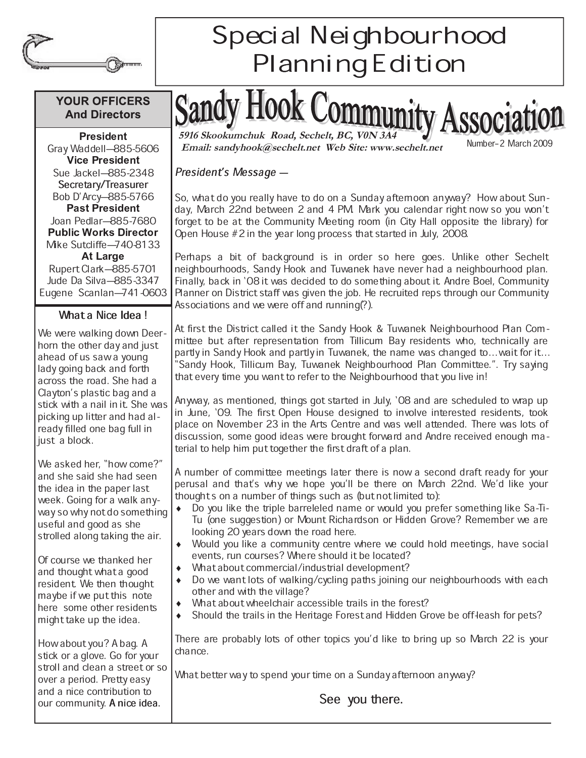

## **YOUR OFFICERS And Directors**

- -

Gray Waddell-885-5606 - - Sue Jackel-885-2348 Secretary/Treasurer Bob D'Arcy-885-5766 - - Joan Pedlar-885-7680 **Public Works Director** Mike Sutcliffe-740-8133 Rupert Clark-885-5701 Jude Da Silva-885-3347 Eugene Scanlan-741-0603

## What a Nice Idea!

We were walking down Deerhorn the other day and just ahead of us saw a young lady going back and forth across the road. She had a Clayton's plastic bag and a stick with a nail in it. She was picking up litter and had already filled one bag full in just a block.

We asked her, "how come?" and she said she had seen the idea in the paper last week. Going for a walk anyway so why not do something useful and good as she strolled along taking the air.

Of course we thanked her and thought what a good resident. We then thought maybe if we put this note here some other residents might take up the idea.

How about you? A bag. A stick or a glove. Go for your stroll and clean a street or so over a period. Pretty easy and a nice contribution to our community. A nice idea.

## Special Neighbourhood Planning Edition

**5916 Skookumchuk Road, Sechelt, BC, V0N 3A4**<br> **Email: sandyhook@sechelt.net Web Site: www.sechelt.net** Number-2 March 2009

SSOC12

## President's Message —

So, what do you really have to do on a Sunday afternoon anyway? How about Sunday, March 22nd between 2 and 4 PM. Mark you calendar right now so you won't forget to be at the Community Meeting room (in City Hall opposite the library) for Open House #2 in the year long process that started in July, 2008.

Perhaps a bit of background is in order so here goes. Unlike other Sechelt neighbourhoods, Sandy Hook and Tuwanek have never had a neighbourhood plan. Finally, back in `08 it was decided to do something about it. Andre Boel, Community Planner on District staff was given the job. He recruited reps through our Community Associations and we were off and running(?).

At first the District called it the Sandy Hook & Tuwanek Neighbourhood Plan Committee but after representation from Tillicum Bay residents who, technically are partly in Sandy Hook and partly in Tuwanek, the name was changed to ... wait for it... Sandy Hook, Tillicum Bay, Tuwanek Neighbourhood Plan Committee.". Try saying that every time you want to refer to the Neighbourhood that you live in!

Anyway, as mentioned, things got started in July, `08 and are scheduled to wrap up in June, `09. The first Open House designed to involve interested residents, took place on November 23 in the Arts Centre and was well attended. There was lots of discussion, some good ideas were brought forward and Andre received enough material to help him put together the first draft of a plan.

A number of committee meetings later there is now a second draft ready for your perusal and that's why we hope you'll be there on March 22nd. We'd like your thought s on a number of things such as (but not limited to):

- Do you like the triple barreleled name or would you prefer something like Sa-Ti-Tu (one suggestion) or Mount Richardson or Hidden Grove? Remember we are looking 20 years down the road here.
- Would you like a community centre where we could hold meetings, have social events, run courses? Where should it be located?
- What about commercial/industrial development?
- Do we want lots of walking/cycling paths joining our neighbourhoods with each other and with the village?
- What about wheelchair accessible trails in the forest?
- Should the trails in the Heritage Forest and Hidden Grove be off-leash for pets?

There are probably lots of other topics you'd like to bring up so March 22 is your chance.

What better way to spend your time on a Sunday afternoon anyway?

See you there.